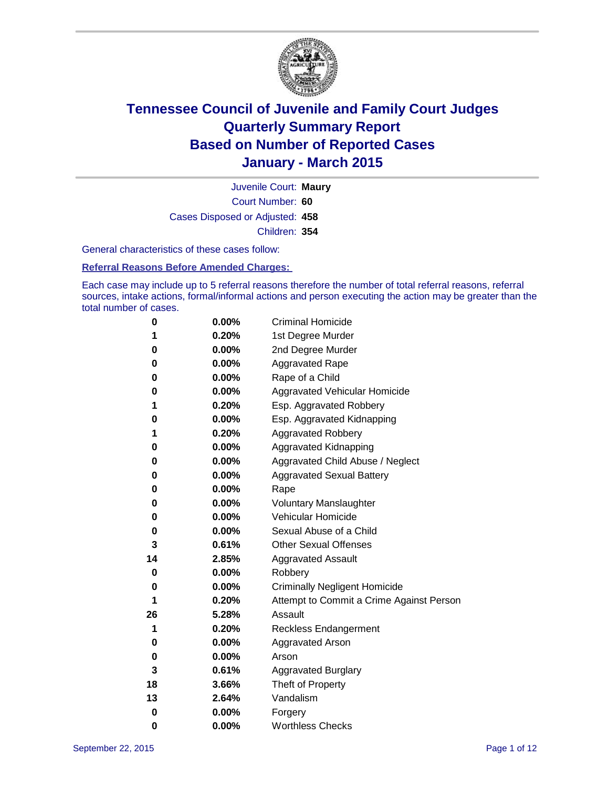

Court Number: **60** Juvenile Court: **Maury** Cases Disposed or Adjusted: **458** Children: **354**

General characteristics of these cases follow:

#### **Referral Reasons Before Amended Charges:**

Each case may include up to 5 referral reasons therefore the number of total referral reasons, referral sources, intake actions, formal/informal actions and person executing the action may be greater than the total number of cases.

| 0  | 0.00%    | <b>Criminal Homicide</b>                 |
|----|----------|------------------------------------------|
| 1  | 0.20%    | 1st Degree Murder                        |
| 0  | 0.00%    | 2nd Degree Murder                        |
| 0  | $0.00\%$ | <b>Aggravated Rape</b>                   |
| 0  | 0.00%    | Rape of a Child                          |
| 0  | 0.00%    | Aggravated Vehicular Homicide            |
| 1  | 0.20%    | Esp. Aggravated Robbery                  |
| 0  | 0.00%    | Esp. Aggravated Kidnapping               |
| 1  | 0.20%    | <b>Aggravated Robbery</b>                |
| 0  | 0.00%    | <b>Aggravated Kidnapping</b>             |
| 0  | 0.00%    | Aggravated Child Abuse / Neglect         |
| 0  | 0.00%    | <b>Aggravated Sexual Battery</b>         |
| 0  | 0.00%    | Rape                                     |
| 0  | $0.00\%$ | <b>Voluntary Manslaughter</b>            |
| 0  | 0.00%    | <b>Vehicular Homicide</b>                |
| 0  | 0.00%    | Sexual Abuse of a Child                  |
| 3  | 0.61%    | <b>Other Sexual Offenses</b>             |
| 14 | 2.85%    | <b>Aggravated Assault</b>                |
| 0  | 0.00%    | Robbery                                  |
| 0  | 0.00%    | <b>Criminally Negligent Homicide</b>     |
| 1  | 0.20%    | Attempt to Commit a Crime Against Person |
| 26 | 5.28%    | Assault                                  |
| 1  | 0.20%    | <b>Reckless Endangerment</b>             |
| 0  | $0.00\%$ | <b>Aggravated Arson</b>                  |
| 0  | 0.00%    | Arson                                    |
| 3  | 0.61%    | <b>Aggravated Burglary</b>               |
| 18 | 3.66%    | Theft of Property                        |
| 13 | 2.64%    | Vandalism                                |
| 0  | 0.00%    | Forgery                                  |
| 0  | 0.00%    | <b>Worthless Checks</b>                  |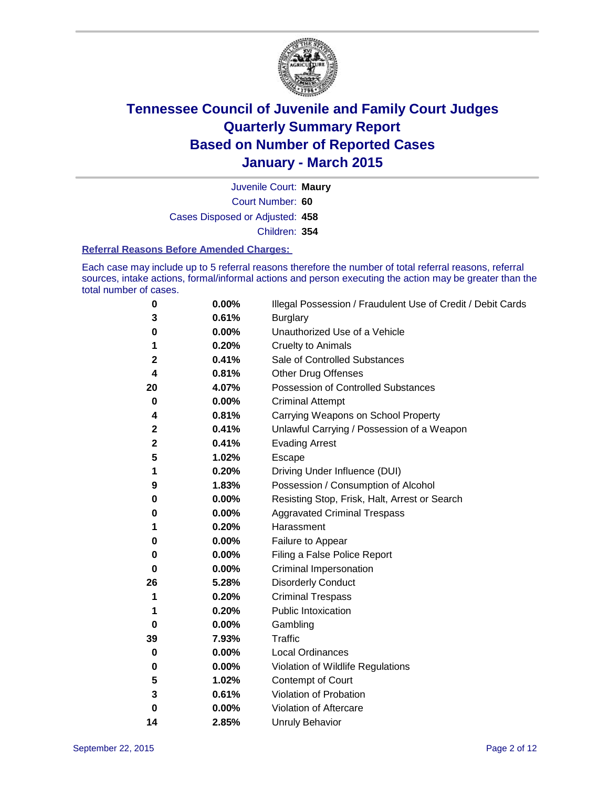

Court Number: **60** Juvenile Court: **Maury** Cases Disposed or Adjusted: **458** Children: **354**

#### **Referral Reasons Before Amended Charges:**

Each case may include up to 5 referral reasons therefore the number of total referral reasons, referral sources, intake actions, formal/informal actions and person executing the action may be greater than the total number of cases.

| 0           | 0.00% | Illegal Possession / Fraudulent Use of Credit / Debit Cards |
|-------------|-------|-------------------------------------------------------------|
| 3           | 0.61% | <b>Burglary</b>                                             |
| 0           | 0.00% | Unauthorized Use of a Vehicle                               |
| 1           | 0.20% | <b>Cruelty to Animals</b>                                   |
| 2           | 0.41% | Sale of Controlled Substances                               |
| 4           | 0.81% | <b>Other Drug Offenses</b>                                  |
| 20          | 4.07% | Possession of Controlled Substances                         |
| 0           | 0.00% | <b>Criminal Attempt</b>                                     |
| 4           | 0.81% | Carrying Weapons on School Property                         |
| 2           | 0.41% | Unlawful Carrying / Possession of a Weapon                  |
| $\mathbf 2$ | 0.41% | <b>Evading Arrest</b>                                       |
| 5           | 1.02% | Escape                                                      |
| 1           | 0.20% | Driving Under Influence (DUI)                               |
| 9           | 1.83% | Possession / Consumption of Alcohol                         |
| 0           | 0.00% | Resisting Stop, Frisk, Halt, Arrest or Search               |
| 0           | 0.00% | <b>Aggravated Criminal Trespass</b>                         |
| 1           | 0.20% | Harassment                                                  |
| 0           | 0.00% | Failure to Appear                                           |
| 0           | 0.00% | Filing a False Police Report                                |
| 0           | 0.00% | Criminal Impersonation                                      |
| 26          | 5.28% | <b>Disorderly Conduct</b>                                   |
| 1           | 0.20% | <b>Criminal Trespass</b>                                    |
| 1           | 0.20% | <b>Public Intoxication</b>                                  |
| 0           | 0.00% | Gambling                                                    |
| 39          | 7.93% | <b>Traffic</b>                                              |
| 0           | 0.00% | <b>Local Ordinances</b>                                     |
| 0           | 0.00% | Violation of Wildlife Regulations                           |
| 5           | 1.02% | Contempt of Court                                           |
| 3           | 0.61% | Violation of Probation                                      |
| $\bf{0}$    | 0.00% | Violation of Aftercare                                      |
| 14          | 2.85% | <b>Unruly Behavior</b>                                      |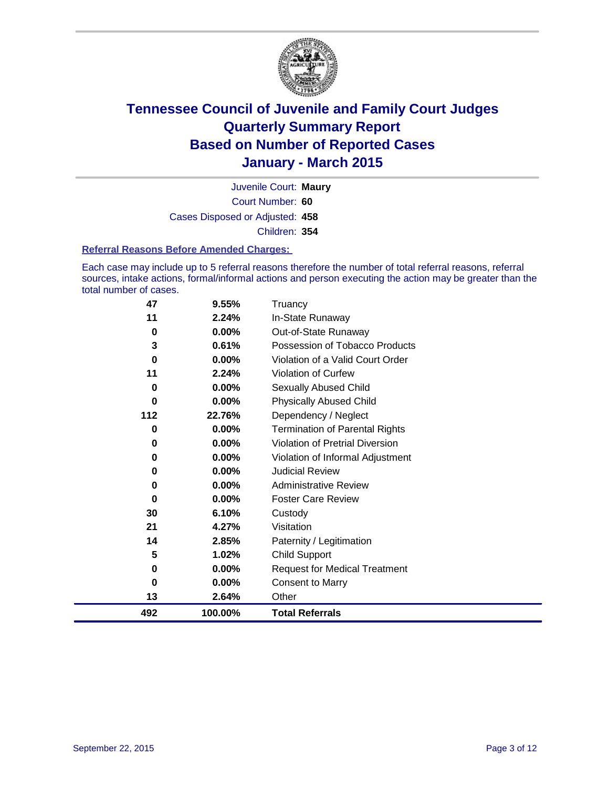

Court Number: **60** Juvenile Court: **Maury** Cases Disposed or Adjusted: **458** Children: **354**

#### **Referral Reasons Before Amended Charges:**

Each case may include up to 5 referral reasons therefore the number of total referral reasons, referral sources, intake actions, formal/informal actions and person executing the action may be greater than the total number of cases.

| 47  | 9.55%   | Truancy                                |
|-----|---------|----------------------------------------|
| 11  | 2.24%   | In-State Runaway                       |
| 0   | 0.00%   | Out-of-State Runaway                   |
| 3   | 0.61%   | Possession of Tobacco Products         |
| 0   | 0.00%   | Violation of a Valid Court Order       |
| 11  | 2.24%   | Violation of Curfew                    |
| 0   | 0.00%   | Sexually Abused Child                  |
| 0   | 0.00%   | <b>Physically Abused Child</b>         |
| 112 | 22.76%  | Dependency / Neglect                   |
| 0   | 0.00%   | <b>Termination of Parental Rights</b>  |
| 0   | 0.00%   | <b>Violation of Pretrial Diversion</b> |
| 0   | 0.00%   | Violation of Informal Adjustment       |
| 0   | 0.00%   | <b>Judicial Review</b>                 |
| 0   | 0.00%   | <b>Administrative Review</b>           |
| 0   | 0.00%   | <b>Foster Care Review</b>              |
| 30  | 6.10%   | Custody                                |
| 21  | 4.27%   | Visitation                             |
| 14  | 2.85%   | Paternity / Legitimation               |
| 5   | 1.02%   | <b>Child Support</b>                   |
| 0   | 0.00%   | <b>Request for Medical Treatment</b>   |
| 0   | 0.00%   | <b>Consent to Marry</b>                |
| 13  | 2.64%   | Other                                  |
| 492 | 100.00% | <b>Total Referrals</b>                 |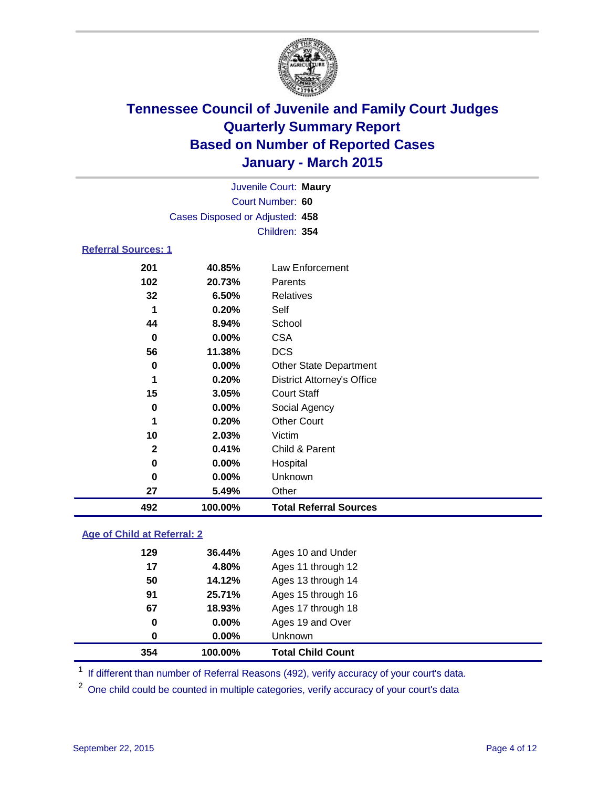

|                            |                                 | Juvenile Court: Maury             |
|----------------------------|---------------------------------|-----------------------------------|
|                            |                                 | Court Number: 60                  |
|                            | Cases Disposed or Adjusted: 458 |                                   |
|                            |                                 | Children: 354                     |
| <b>Referral Sources: 1</b> |                                 |                                   |
|                            |                                 |                                   |
| 201                        | 40.85%                          | Law Enforcement                   |
| 102                        | 20.73%                          | Parents                           |
| 32                         | 6.50%                           | <b>Relatives</b>                  |
| 1                          | 0.20%                           | Self                              |
| 44                         | 8.94%                           | School                            |
| 0                          | $0.00\%$                        | <b>CSA</b>                        |
| 56                         | 11.38%                          | <b>DCS</b>                        |
| 0                          | $0.00\%$                        | <b>Other State Department</b>     |
| 1                          | 0.20%                           | <b>District Attorney's Office</b> |
| 15                         | 3.05%                           | <b>Court Staff</b>                |
| 0                          | $0.00\%$                        | Social Agency                     |
| 1                          | 0.20%                           | <b>Other Court</b>                |
| 10                         | 2.03%                           | Victim                            |
| $\mathbf{2}$               | 0.41%                           | Child & Parent                    |
| 0                          | 0.00%                           | Hospital                          |
| 0                          | 0.00%                           | Unknown                           |

**5.49%** Other

**100.00% Total Referral Sources**

### **Age of Child at Referral: 2**

| 354 | 100.00%  | <b>Total Child Count</b> |
|-----|----------|--------------------------|
| 0   | 0.00%    | Unknown                  |
| 0   | $0.00\%$ | Ages 19 and Over         |
| 67  | 18.93%   | Ages 17 through 18       |
| 91  | 25.71%   | Ages 15 through 16       |
| 50  | 14.12%   | Ages 13 through 14       |
| 17  | 4.80%    | Ages 11 through 12       |
| 129 | 36.44%   | Ages 10 and Under        |

<sup>1</sup> If different than number of Referral Reasons (492), verify accuracy of your court's data.

One child could be counted in multiple categories, verify accuracy of your court's data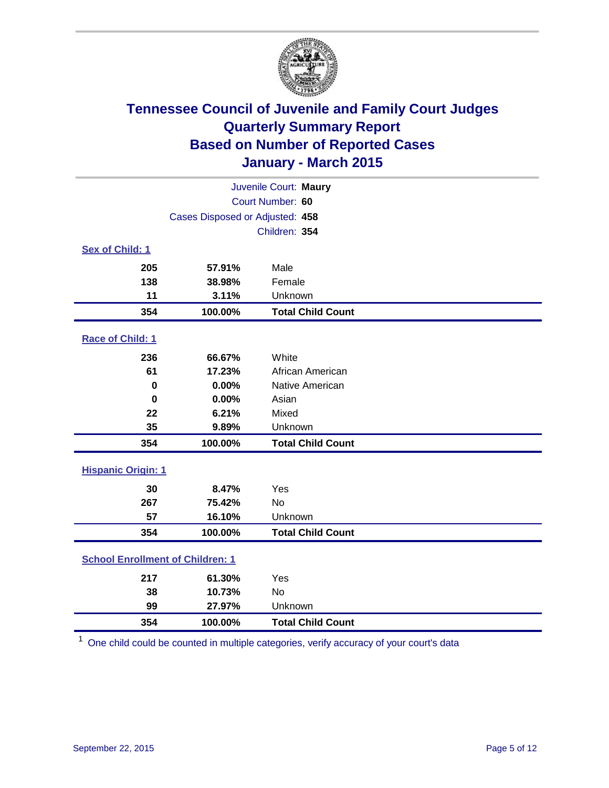

|                                         | Juvenile Court: Maury           |                          |  |  |  |  |
|-----------------------------------------|---------------------------------|--------------------------|--|--|--|--|
|                                         | Court Number: 60                |                          |  |  |  |  |
|                                         | Cases Disposed or Adjusted: 458 |                          |  |  |  |  |
|                                         |                                 | Children: 354            |  |  |  |  |
| Sex of Child: 1                         |                                 |                          |  |  |  |  |
| 205                                     | 57.91%                          | Male                     |  |  |  |  |
| 138                                     | 38.98%                          | Female                   |  |  |  |  |
| 11                                      | 3.11%                           | Unknown                  |  |  |  |  |
| 354                                     | 100.00%                         | <b>Total Child Count</b> |  |  |  |  |
| Race of Child: 1                        |                                 |                          |  |  |  |  |
| 236                                     | 66.67%                          | White                    |  |  |  |  |
| 61                                      | 17.23%                          | African American         |  |  |  |  |
| $\bf{0}$                                | 0.00%                           | Native American          |  |  |  |  |
| $\bf{0}$                                | 0.00%                           | Asian                    |  |  |  |  |
| 22                                      | 6.21%                           | Mixed                    |  |  |  |  |
| 35                                      | 9.89%                           | Unknown                  |  |  |  |  |
| 354                                     | 100.00%                         | <b>Total Child Count</b> |  |  |  |  |
| <b>Hispanic Origin: 1</b>               |                                 |                          |  |  |  |  |
| 30                                      | 8.47%                           | Yes                      |  |  |  |  |
| 267                                     | 75.42%                          | <b>No</b>                |  |  |  |  |
| 57                                      | 16.10%                          | Unknown                  |  |  |  |  |
| 354                                     | 100.00%                         | <b>Total Child Count</b> |  |  |  |  |
| <b>School Enrollment of Children: 1</b> |                                 |                          |  |  |  |  |
| 217                                     | 61.30%                          | Yes                      |  |  |  |  |
| 38                                      | 10.73%                          | No                       |  |  |  |  |
| 99                                      | 27.97%                          | Unknown                  |  |  |  |  |
| 354                                     | 100.00%                         | <b>Total Child Count</b> |  |  |  |  |

One child could be counted in multiple categories, verify accuracy of your court's data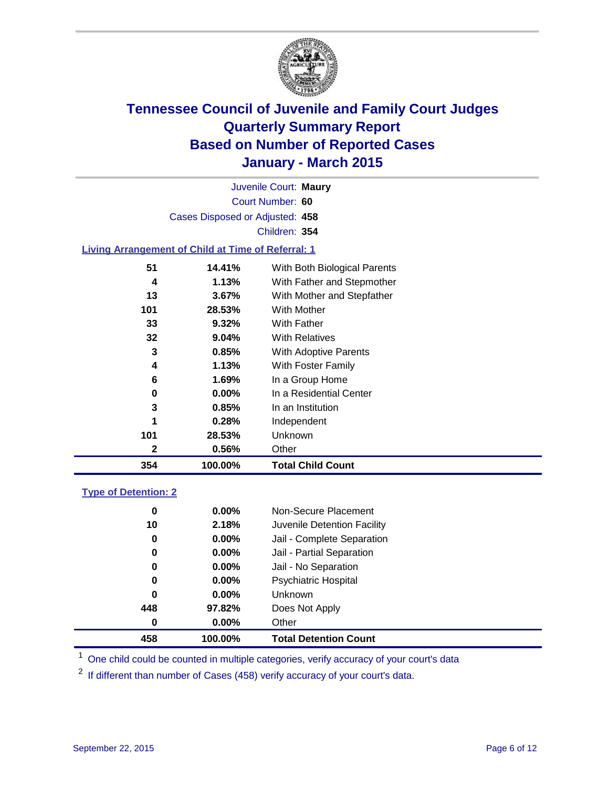

Court Number: **60** Juvenile Court: **Maury** Cases Disposed or Adjusted: **458** Children: **354**

### **Living Arrangement of Child at Time of Referral: 1**

| 354 | 100.00%  | <b>Total Child Count</b>     |
|-----|----------|------------------------------|
| 2   | 0.56%    | Other                        |
| 101 | 28.53%   | <b>Unknown</b>               |
| 1   | 0.28%    | Independent                  |
| 3   | $0.85\%$ | In an Institution            |
| 0   | $0.00\%$ | In a Residential Center      |
| 6   | 1.69%    | In a Group Home              |
| 4   | 1.13%    | With Foster Family           |
| 3   | 0.85%    | <b>With Adoptive Parents</b> |
| 32  | 9.04%    | <b>With Relatives</b>        |
| 33  | 9.32%    | With Father                  |
| 101 | 28.53%   | <b>With Mother</b>           |
| 13  | 3.67%    | With Mother and Stepfather   |
| 4   | 1.13%    | With Father and Stepmother   |
| 51  | 14.41%   | With Both Biological Parents |
|     |          |                              |

#### **Type of Detention: 2**

| 0<br>10<br>0<br>0<br>0<br>0 | $0.00\%$<br>2.18%<br>$0.00\%$<br>0.00%<br>$0.00\%$<br>$0.00\%$ | Non-Secure Placement<br>Juvenile Detention Facility<br>Jail - Complete Separation<br>Jail - Partial Separation<br>Jail - No Separation<br><b>Psychiatric Hospital</b> |  |
|-----------------------------|----------------------------------------------------------------|-----------------------------------------------------------------------------------------------------------------------------------------------------------------------|--|
| 0                           | $0.00\%$                                                       | <b>Unknown</b>                                                                                                                                                        |  |
| 448                         | 97.82%                                                         | Does Not Apply                                                                                                                                                        |  |
| 0                           | $0.00\%$                                                       | Other                                                                                                                                                                 |  |
| 458                         | 100.00%                                                        | <b>Total Detention Count</b>                                                                                                                                          |  |

<sup>1</sup> One child could be counted in multiple categories, verify accuracy of your court's data

If different than number of Cases (458) verify accuracy of your court's data.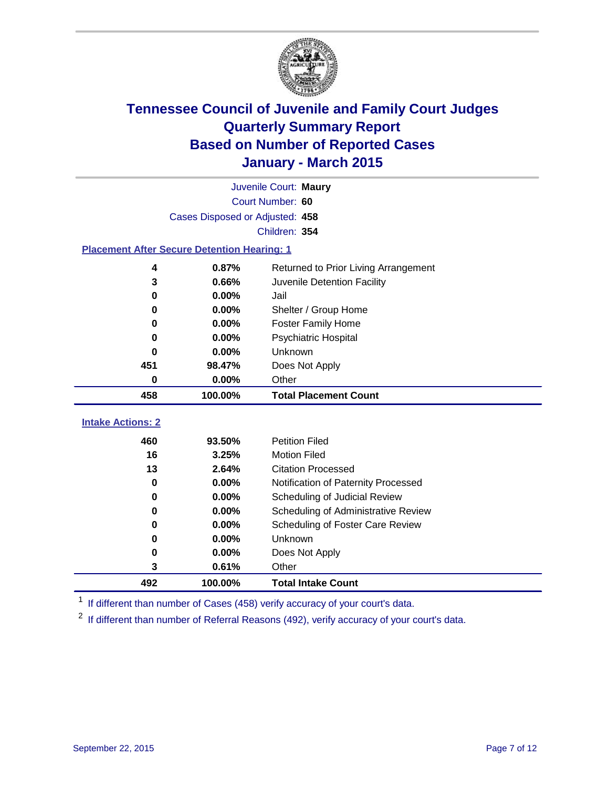

| Juvenile Court: Maury                              |                                 |                                      |  |  |  |  |  |
|----------------------------------------------------|---------------------------------|--------------------------------------|--|--|--|--|--|
| Court Number: 60                                   |                                 |                                      |  |  |  |  |  |
|                                                    | Cases Disposed or Adjusted: 458 |                                      |  |  |  |  |  |
|                                                    |                                 | Children: 354                        |  |  |  |  |  |
| <b>Placement After Secure Detention Hearing: 1</b> |                                 |                                      |  |  |  |  |  |
| 4                                                  | 0.87%                           | Returned to Prior Living Arrangement |  |  |  |  |  |
| 3                                                  | 0.66%                           | Juvenile Detention Facility          |  |  |  |  |  |
| 0                                                  | $0.00\%$                        | Jail                                 |  |  |  |  |  |
| 0                                                  | $0.00\%$                        | Shelter / Group Home                 |  |  |  |  |  |
| 0                                                  | $0.00\%$                        | <b>Foster Family Home</b>            |  |  |  |  |  |
| 0                                                  | $0.00\%$                        | <b>Psychiatric Hospital</b>          |  |  |  |  |  |
| 0                                                  | $0.00\%$                        | Unknown                              |  |  |  |  |  |
| 451                                                | 98.47%                          | Does Not Apply                       |  |  |  |  |  |
| 0                                                  | 0.00%                           | Other                                |  |  |  |  |  |
| 458                                                | 100.00%                         | <b>Total Placement Count</b>         |  |  |  |  |  |
| <b>Intake Actions: 2</b>                           |                                 |                                      |  |  |  |  |  |
| 460                                                | 93.50%                          | <b>Petition Filed</b>                |  |  |  |  |  |
| 16                                                 | 3.25%                           | <b>Motion Filed</b>                  |  |  |  |  |  |
| 13                                                 | 2.64%                           | <b>Citation Processed</b>            |  |  |  |  |  |
| 0                                                  | $0.00\%$                        | Notification of Paternity Processed  |  |  |  |  |  |
| 0                                                  | $0.00\%$                        | Scheduling of Judicial Review        |  |  |  |  |  |
| 0                                                  | 0.00%                           | Scheduling of Administrative Review  |  |  |  |  |  |

<sup>1</sup> If different than number of Cases (458) verify accuracy of your court's data.

**0.00%** Does Not Apply

**100.00% Total Intake Count**

**0.00%** Unknown

**0.61%** Other

<sup>2</sup> If different than number of Referral Reasons (492), verify accuracy of your court's data.

**0.00%** Scheduling of Foster Care Review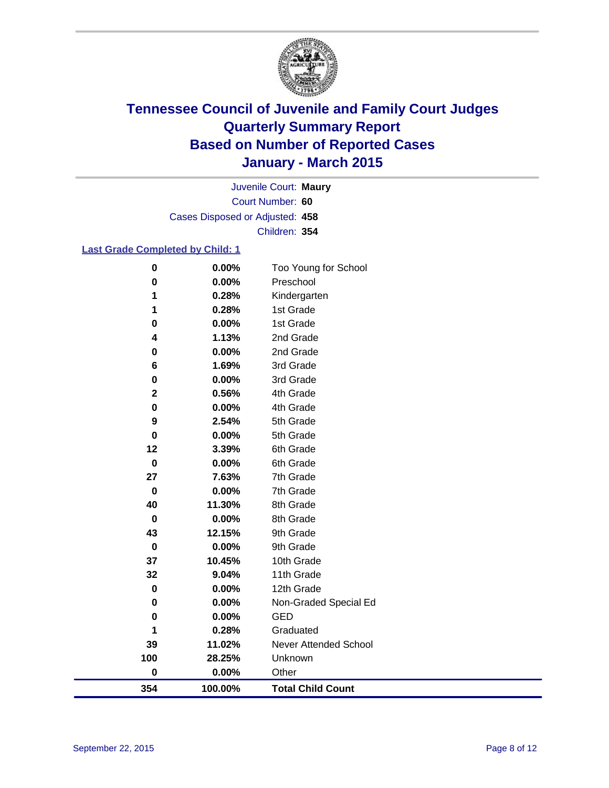

Court Number: **60** Juvenile Court: **Maury** Cases Disposed or Adjusted: **458** Children: **354**

### **Last Grade Completed by Child: 1**

| $\pmb{0}$               | 0.00%   | Too Young for School         |
|-------------------------|---------|------------------------------|
| $\bf{0}$                | 0.00%   | Preschool                    |
| 1                       | 0.28%   | Kindergarten                 |
| 1                       | 0.28%   | 1st Grade                    |
| 0                       | 0.00%   | 1st Grade                    |
| 4                       | 1.13%   | 2nd Grade                    |
| 0                       | 0.00%   | 2nd Grade                    |
| 6                       | 1.69%   | 3rd Grade                    |
| 0                       | 0.00%   | 3rd Grade                    |
| $\overline{\mathbf{2}}$ | 0.56%   | 4th Grade                    |
| 0                       | 0.00%   | 4th Grade                    |
| 9                       | 2.54%   | 5th Grade                    |
| 0                       | 0.00%   | 5th Grade                    |
| 12                      | 3.39%   | 6th Grade                    |
| $\bf{0}$                | 0.00%   | 6th Grade                    |
| 27                      | 7.63%   | 7th Grade                    |
| $\pmb{0}$               | 0.00%   | 7th Grade                    |
| 40                      | 11.30%  | 8th Grade                    |
| 0                       | 0.00%   | 8th Grade                    |
| 43                      | 12.15%  | 9th Grade                    |
| $\bf{0}$                | 0.00%   | 9th Grade                    |
| 37                      | 10.45%  | 10th Grade                   |
| 32                      | 9.04%   | 11th Grade                   |
| $\pmb{0}$               | 0.00%   | 12th Grade                   |
| 0                       | 0.00%   | Non-Graded Special Ed        |
| 0                       | 0.00%   | <b>GED</b>                   |
| 1                       | 0.28%   | Graduated                    |
| 39                      | 11.02%  | <b>Never Attended School</b> |
| 100                     | 28.25%  | Unknown                      |
| 0                       | 0.00%   | Other                        |
| 354                     | 100.00% | <b>Total Child Count</b>     |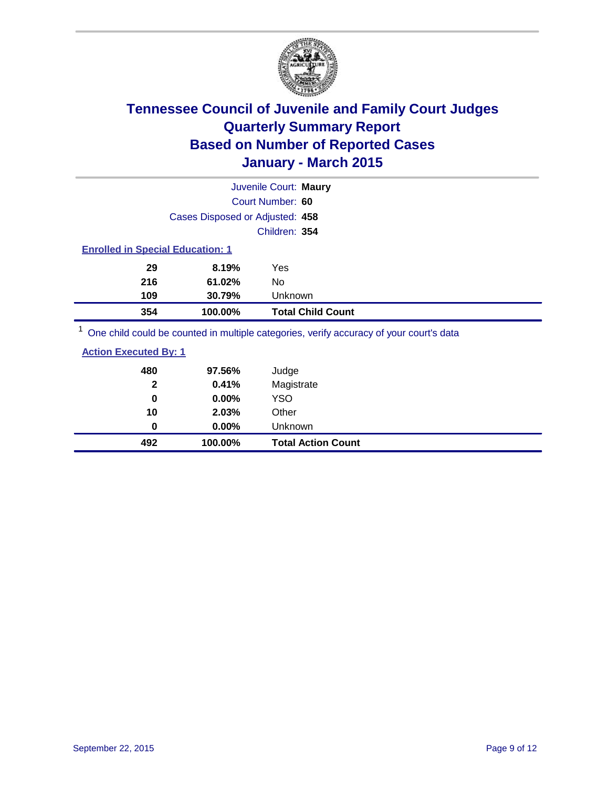

| Juvenile Court: Maury                                                                   |                          |
|-----------------------------------------------------------------------------------------|--------------------------|
| Court Number: 60                                                                        |                          |
| Cases Disposed or Adjusted: 458                                                         |                          |
|                                                                                         | Children: 354            |
| <b>Enrolled in Special Education: 1</b>                                                 |                          |
| 8.19%<br>29<br>Yes                                                                      |                          |
| 216<br>61.02%<br>No                                                                     |                          |
| 109<br>30.79%                                                                           | Unknown                  |
| 354<br>100.00%                                                                          | <b>Total Child Count</b> |
| One child could be counted in multiple categories, verify accuracy of your court's data |                          |

| <b>Action Executed By: 1</b> |                 |                     |  |
|------------------------------|-----------------|---------------------|--|
| 480<br>2                     | 97.56%<br>0.41% | Judge<br>Magistrate |  |

| 492 | 100.00%         | <b>Total Action Count</b> |  |
|-----|-----------------|---------------------------|--|
| 0   | $0.00\%$        | Unknown                   |  |
| 10  | 2.03%           | Other                     |  |
| 0   | $0.00\%$        | YSO                       |  |
| ◢   | <b>U.HI</b> / 0 | <b>IVIAYISU</b> die       |  |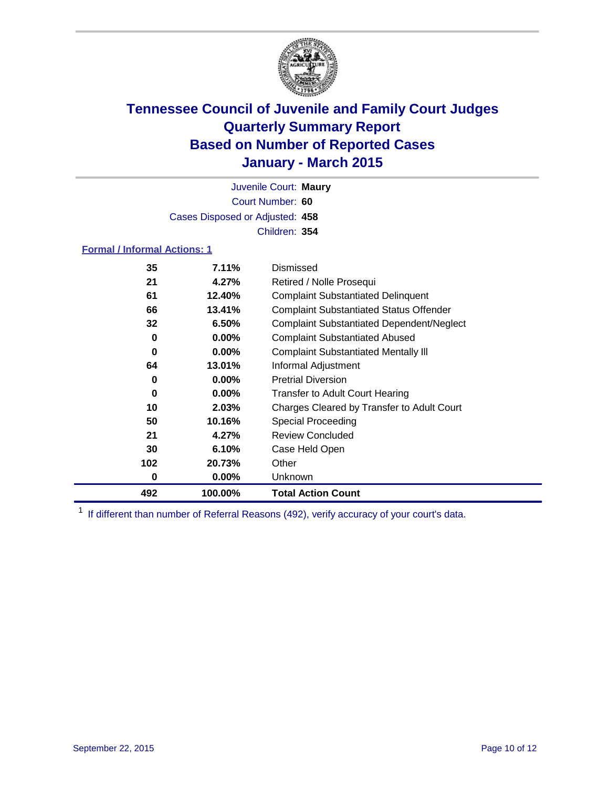

Court Number: **60** Juvenile Court: **Maury** Cases Disposed or Adjusted: **458** Children: **354**

### **Formal / Informal Actions: 1**

| 35  | 7.11%    | Dismissed                                        |
|-----|----------|--------------------------------------------------|
| 21  | 4.27%    | Retired / Nolle Prosequi                         |
| 61  | 12.40%   | <b>Complaint Substantiated Delinquent</b>        |
| 66  | 13.41%   | <b>Complaint Substantiated Status Offender</b>   |
| 32  | 6.50%    | <b>Complaint Substantiated Dependent/Neglect</b> |
| 0   | $0.00\%$ | <b>Complaint Substantiated Abused</b>            |
| 0   | $0.00\%$ | <b>Complaint Substantiated Mentally III</b>      |
| 64  | 13.01%   | Informal Adjustment                              |
| 0   | $0.00\%$ | <b>Pretrial Diversion</b>                        |
| 0   | $0.00\%$ | <b>Transfer to Adult Court Hearing</b>           |
| 10  | 2.03%    | Charges Cleared by Transfer to Adult Court       |
| 50  | 10.16%   | <b>Special Proceeding</b>                        |
| 21  | 4.27%    | <b>Review Concluded</b>                          |
| 30  | 6.10%    | Case Held Open                                   |
| 102 | 20.73%   | Other                                            |
| 0   | $0.00\%$ | Unknown                                          |
| 492 | 100.00%  | <b>Total Action Count</b>                        |

<sup>1</sup> If different than number of Referral Reasons (492), verify accuracy of your court's data.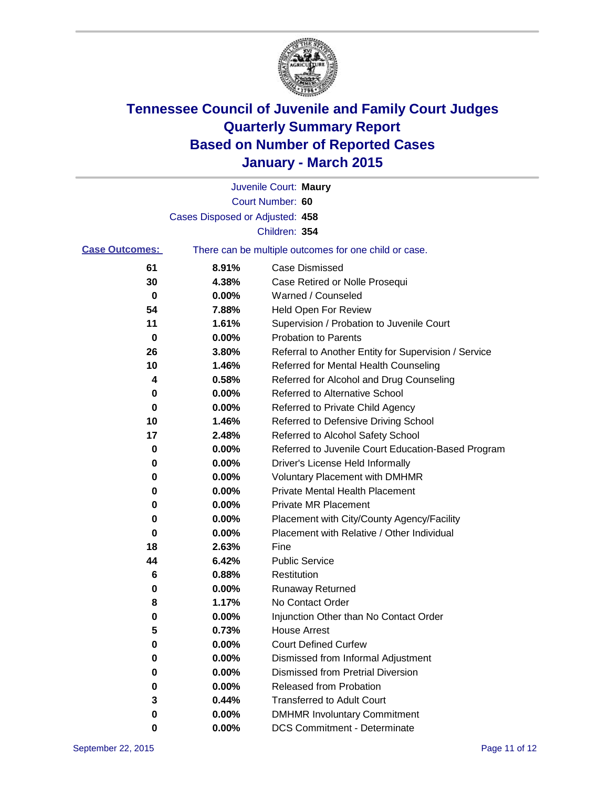

|                       |                                 | Juvenile Court: Maury                                 |
|-----------------------|---------------------------------|-------------------------------------------------------|
|                       |                                 | Court Number: 60                                      |
|                       | Cases Disposed or Adjusted: 458 |                                                       |
|                       |                                 | Children: 354                                         |
| <b>Case Outcomes:</b> |                                 | There can be multiple outcomes for one child or case. |
| 61                    | 8.91%                           | Case Dismissed                                        |
| 30                    | 4.38%                           | Case Retired or Nolle Prosequi                        |
| 0                     | 0.00%                           | Warned / Counseled                                    |
| 54                    | 7.88%                           | <b>Held Open For Review</b>                           |
| 11                    | 1.61%                           | Supervision / Probation to Juvenile Court             |
| 0                     | 0.00%                           | <b>Probation to Parents</b>                           |
| 26                    | 3.80%                           | Referral to Another Entity for Supervision / Service  |
| 10                    | 1.46%                           | Referred for Mental Health Counseling                 |
| 4                     | 0.58%                           | Referred for Alcohol and Drug Counseling              |
| 0                     | 0.00%                           | <b>Referred to Alternative School</b>                 |
| 0                     | 0.00%                           | Referred to Private Child Agency                      |
| 10                    | 1.46%                           | Referred to Defensive Driving School                  |
| 17                    | 2.48%                           | Referred to Alcohol Safety School                     |
| 0                     | 0.00%                           | Referred to Juvenile Court Education-Based Program    |
| 0                     | 0.00%                           | Driver's License Held Informally                      |
| 0                     | 0.00%                           | <b>Voluntary Placement with DMHMR</b>                 |
| 0                     | 0.00%                           | <b>Private Mental Health Placement</b>                |
| 0                     | 0.00%                           | <b>Private MR Placement</b>                           |
| 0                     | 0.00%                           | Placement with City/County Agency/Facility            |
| 0                     | 0.00%                           | Placement with Relative / Other Individual            |
| 18                    | 2.63%                           | Fine                                                  |
| 44                    | 6.42%                           | <b>Public Service</b>                                 |
| 6                     | 0.88%                           | Restitution                                           |
| 0                     | 0.00%                           | <b>Runaway Returned</b>                               |
| 8                     | 1.17%                           | No Contact Order                                      |
| 0                     | 0.00%                           | Injunction Other than No Contact Order                |
| 5                     | 0.73%                           | House Arrest                                          |
| 0                     | 0.00%                           | <b>Court Defined Curfew</b>                           |
| 0                     | 0.00%                           | Dismissed from Informal Adjustment                    |
| 0                     | 0.00%                           | <b>Dismissed from Pretrial Diversion</b>              |
| 0                     | 0.00%                           | Released from Probation                               |
| 3                     | 0.44%                           | <b>Transferred to Adult Court</b>                     |
| 0                     | 0.00%                           | <b>DMHMR Involuntary Commitment</b>                   |
| 0                     | 0.00%                           | <b>DCS Commitment - Determinate</b>                   |